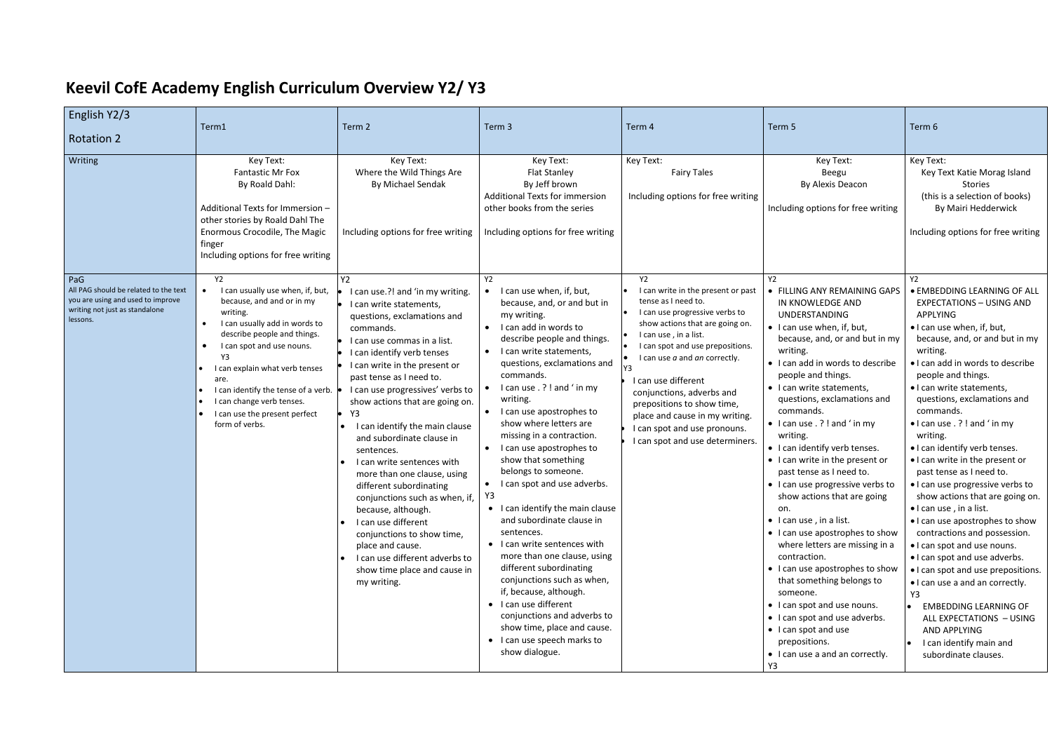## **Keevil CofE Academy English Curriculum Overview Y2/ Y3**

| English Y2/3<br><b>Rotation 2</b>                                                                                               | Term1                                                                                                                                                                                                                                                                                                                                                                                      | Term 2                                                                                                                                                                                                                                                                                                                                                                                                                                                                                                                                                                                                                                                                                                      | Term 3                                                                                                                                                                                                                                                                                                                                                                                                                                                                                                                                                                                                                                                                                                                                                                                                                                                 | Term 4                                                                                                                                                                                                                                                                                                                                                                                                                           | Term 5                                                                                                                                                                                                                                                                                                                                                                                                                                                                                                                                                                                                                                                                                                                                                                                                                                                                                         | Term 6                                                                                                                                                                                                                                                                                                                                                                                                                                                                                                                                                                                                                                                                                                                                                                                                                                                                                                                               |
|---------------------------------------------------------------------------------------------------------------------------------|--------------------------------------------------------------------------------------------------------------------------------------------------------------------------------------------------------------------------------------------------------------------------------------------------------------------------------------------------------------------------------------------|-------------------------------------------------------------------------------------------------------------------------------------------------------------------------------------------------------------------------------------------------------------------------------------------------------------------------------------------------------------------------------------------------------------------------------------------------------------------------------------------------------------------------------------------------------------------------------------------------------------------------------------------------------------------------------------------------------------|--------------------------------------------------------------------------------------------------------------------------------------------------------------------------------------------------------------------------------------------------------------------------------------------------------------------------------------------------------------------------------------------------------------------------------------------------------------------------------------------------------------------------------------------------------------------------------------------------------------------------------------------------------------------------------------------------------------------------------------------------------------------------------------------------------------------------------------------------------|----------------------------------------------------------------------------------------------------------------------------------------------------------------------------------------------------------------------------------------------------------------------------------------------------------------------------------------------------------------------------------------------------------------------------------|------------------------------------------------------------------------------------------------------------------------------------------------------------------------------------------------------------------------------------------------------------------------------------------------------------------------------------------------------------------------------------------------------------------------------------------------------------------------------------------------------------------------------------------------------------------------------------------------------------------------------------------------------------------------------------------------------------------------------------------------------------------------------------------------------------------------------------------------------------------------------------------------|--------------------------------------------------------------------------------------------------------------------------------------------------------------------------------------------------------------------------------------------------------------------------------------------------------------------------------------------------------------------------------------------------------------------------------------------------------------------------------------------------------------------------------------------------------------------------------------------------------------------------------------------------------------------------------------------------------------------------------------------------------------------------------------------------------------------------------------------------------------------------------------------------------------------------------------|
| Writing                                                                                                                         | Key Text:<br><b>Fantastic Mr Fox</b><br>By Roald Dahl:<br>Additional Texts for Immersion -<br>other stories by Roald Dahl The<br>Enormous Crocodile, The Magic<br>finger<br>Including options for free writing                                                                                                                                                                             | Key Text:<br>Where the Wild Things Are<br>By Michael Sendak<br>Including options for free writing                                                                                                                                                                                                                                                                                                                                                                                                                                                                                                                                                                                                           | Key Text:<br><b>Flat Stanley</b><br>By Jeff brown<br><b>Additional Texts for immersion</b><br>other books from the series<br>Including options for free writing                                                                                                                                                                                                                                                                                                                                                                                                                                                                                                                                                                                                                                                                                        | Key Text:<br><b>Fairy Tales</b><br>Including options for free writing                                                                                                                                                                                                                                                                                                                                                            | Key Text:<br>Beegu<br>By Alexis Deacon<br>Including options for free writing                                                                                                                                                                                                                                                                                                                                                                                                                                                                                                                                                                                                                                                                                                                                                                                                                   | Key Text:<br>Key Text Katie Morag Island<br><b>Stories</b><br>(this is a selection of books)<br>By Mairi Hedderwick<br>Including options for free writing                                                                                                                                                                                                                                                                                                                                                                                                                                                                                                                                                                                                                                                                                                                                                                            |
| PaG<br>All PAG should be related to the text<br>you are using and used to improve<br>writing not just as standalone<br>lessons. | Y2<br>I can usually use when, if, but,<br>because, and and or in my<br>writing.<br>I can usually add in words to<br>$\bullet$<br>describe people and things.<br>I can spot and use nouns.<br>$\bullet$<br>Y3<br>I can explain what verb tenses<br>are.<br>I can identify the tense of a verb.<br>I can change verb tenses.<br>I can use the present perfect<br>$\bullet$<br>form of verbs. | Y2<br>I can use.?! and 'in my writing.<br>I can write statements,<br>questions, exclamations and<br>commands.<br>I can use commas in a list.<br>I can identify verb tenses<br>I can write in the present or<br>past tense as I need to.<br>I can use progressives' verbs to<br>show actions that are going on.<br>Y3<br>I can identify the main clause<br>and subordinate clause in<br>sentences.<br>I can write sentences with<br>more than one clause, using<br>different subordinating<br>conjunctions such as when, if,<br>because, although.<br>I can use different<br>conjunctions to show time,<br>place and cause.<br>I can use different adverbs to<br>show time place and cause in<br>my writing. | Y2<br>I can use when, if, but,<br>because, and, or and but in<br>my writing.<br>• I can add in words to<br>describe people and things.<br>• I can write statements,<br>questions, exclamations and<br>commands.<br>I can use . ? ! and ' in my<br>writing.<br>• I can use apostrophes to<br>show where letters are<br>missing in a contraction.<br>• I can use apostrophes to<br>show that something<br>belongs to someone.<br>I can spot and use adverbs.<br>$\bullet$<br>Y3<br>• I can identify the main clause<br>and subordinate clause in<br>sentences.<br>• I can write sentences with<br>more than one clause, using<br>different subordinating<br>conjunctions such as when,<br>if, because, although.<br>• I can use different<br>conjunctions and adverbs to<br>show time, place and cause.<br>• I can use speech marks to<br>show dialogue. | <b>Y2</b><br>I can write in the present or past<br>tense as I need to.<br>I can use progressive verbs to<br>show actions that are going on.<br>I can use, in a list.<br>I can spot and use prepositions.<br>I can use a and an correctly.<br>I can use different<br>conjunctions, adverbs and<br>prepositions to show time,<br>place and cause in my writing.<br>I can spot and use pronouns.<br>I can spot and use determiners. | Y <sub>2</sub><br>• FILLING ANY REMAINING GAPS<br>IN KNOWLEDGE AND<br><b>UNDERSTANDING</b><br>• I can use when, if, but,<br>because, and, or and but in my<br>writing.<br>• I can add in words to describe<br>people and things.<br>• I can write statements,<br>questions, exclamations and<br>commands.<br>$\bullet$ I can use . ? ! and ' in my<br>writing.<br>• I can identify verb tenses.<br>• I can write in the present or<br>past tense as I need to.<br>• I can use progressive verbs to<br>show actions that are going<br>on.<br>$\bullet$ I can use, in a list.<br>• I can use apostrophes to show<br>where letters are missing in a<br>contraction.<br>• I can use apostrophes to show<br>that something belongs to<br>someone.<br>• I can spot and use nouns.<br>• I can spot and use adverbs.<br>• I can spot and use<br>prepositions.<br>• I can use a and an correctly.<br>Y3 | <b>Y2</b><br><b>. EMBEDDING LEARNING OF ALL</b><br><b>EXPECTATIONS - USING AND</b><br>APPLYING<br>• I can use when, if, but,<br>because, and, or and but in my<br>writing.<br>. I can add in words to describe<br>people and things.<br>· I can write statements,<br>questions, exclamations and<br>commands.<br>• I can use . ? ! and ' in my<br>writing.<br>• I can identify verb tenses.<br>. I can write in the present or<br>past tense as I need to.<br>. I can use progressive verbs to<br>show actions that are going on.<br>• I can use, in a list.<br>• I can use apostrophes to show<br>contractions and possession.<br>. I can spot and use nouns.<br>• I can spot and use adverbs.<br>• I can spot and use prepositions.<br>• I can use a and an correctly.<br>Y3<br><b>EMBEDDING LEARNING OF</b><br>$\bullet$<br>ALL EXPECTATIONS - USING<br>AND APPLYING<br>$\bullet$ I can identify main and<br>subordinate clauses. |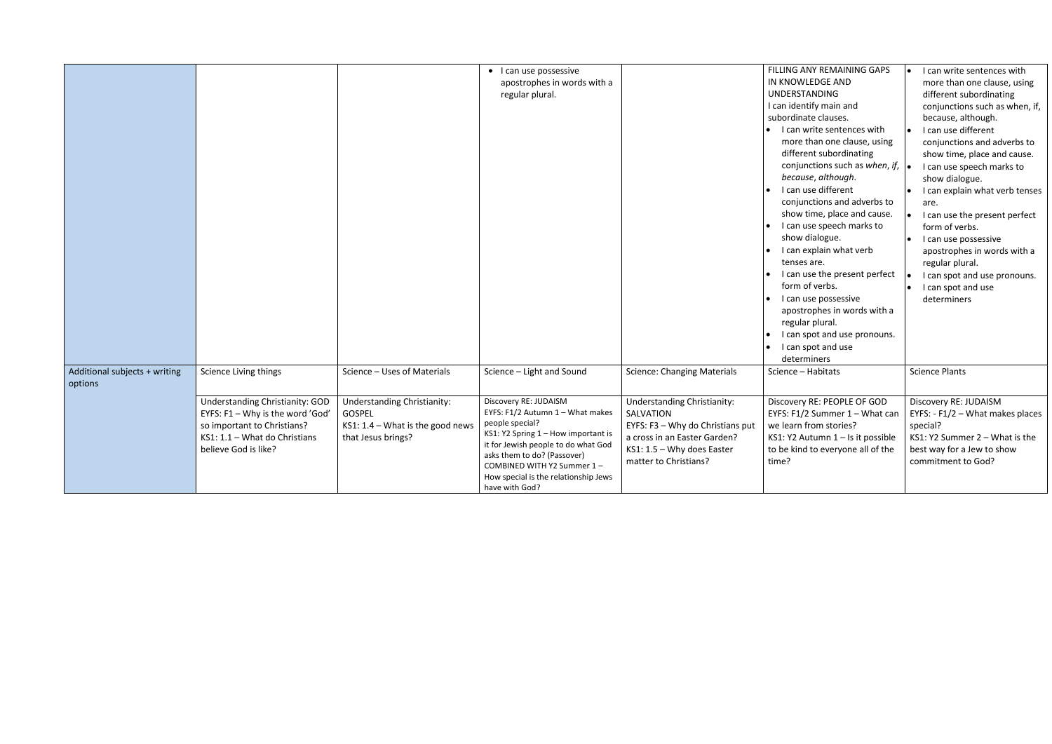|                                          |                                                                                                                                                             |                                                                                                                 | • I can use possessive<br>apostrophes in words with a<br>regular plural.                                                                                                                                                                                                          |                                                                                                                                                                              | FILLING ANY REMAINING GAPS<br>IN KNOWLEDGE AND<br><b>UNDERSTANDING</b><br>I can identify main and<br>subordinate clauses.<br>• I can write sentences with<br>more than one clause, using<br>different subordinating<br>conjunctions such as when, if, $\vert \bullet \vert$<br>because, although.<br>I can use different<br>conjunctions and adverbs to<br>show time, place and cause.<br>I can use speech marks to<br>show dialogue.<br>I can explain what verb<br>tenses are.<br>I can use the present perfect<br>form of verbs.<br>I can use possessive<br>apostrophes in words with a<br>regular plural.<br>I can spot and use pronouns.<br>I can spot and use<br>determiners | I can write sentences with<br>more than one clause, using<br>different subordinating<br>conjunctions such as when, if,<br>because, although.<br>I can use different<br>conjunctions and adverbs to<br>show time, place and cause.<br>I can use speech marks to<br>show dialogue.<br>I can explain what verb tenses<br>are.<br>I can use the present perfect<br>form of verbs.<br>I can use possessive<br>apostrophes in words with a<br>regular plural.<br>I can spot and use pronouns.<br>I can spot and use<br>determiners |
|------------------------------------------|-------------------------------------------------------------------------------------------------------------------------------------------------------------|-----------------------------------------------------------------------------------------------------------------|-----------------------------------------------------------------------------------------------------------------------------------------------------------------------------------------------------------------------------------------------------------------------------------|------------------------------------------------------------------------------------------------------------------------------------------------------------------------------|-----------------------------------------------------------------------------------------------------------------------------------------------------------------------------------------------------------------------------------------------------------------------------------------------------------------------------------------------------------------------------------------------------------------------------------------------------------------------------------------------------------------------------------------------------------------------------------------------------------------------------------------------------------------------------------|------------------------------------------------------------------------------------------------------------------------------------------------------------------------------------------------------------------------------------------------------------------------------------------------------------------------------------------------------------------------------------------------------------------------------------------------------------------------------------------------------------------------------|
| Additional subjects + writing<br>options | Science Living things                                                                                                                                       | Science - Uses of Materials                                                                                     | Science - Light and Sound                                                                                                                                                                                                                                                         | <b>Science: Changing Materials</b>                                                                                                                                           | Science - Habitats                                                                                                                                                                                                                                                                                                                                                                                                                                                                                                                                                                                                                                                                | <b>Science Plants</b>                                                                                                                                                                                                                                                                                                                                                                                                                                                                                                        |
|                                          | Understanding Christianity: GOD<br>EYFS: F1 - Why is the word 'God'<br>so important to Christians?<br>KS1: 1.1 - What do Christians<br>believe God is like? | <b>Understanding Christianity:</b><br><b>GOSPEL</b><br>KS1: $1.4$ – What is the good news<br>that Jesus brings? | Discovery RE: JUDAISM<br>EYFS: F1/2 Autumn 1 - What makes<br>people special?<br>KS1: Y2 Spring 1 - How important is<br>it for Jewish people to do what God<br>asks them to do? (Passover)<br>COMBINED WITH Y2 Summer 1-<br>How special is the relationship Jews<br>have with God? | <b>Understanding Christianity:</b><br>SALVATION<br>EYFS: F3 - Why do Christians put<br>a cross in an Easter Garden?<br>$KS1: 1.5 - Why does Easter$<br>matter to Christians? | Discovery RE: PEOPLE OF GOD<br>EYFS: F1/2 Summer 1 - What can<br>we learn from stories?<br>KS1: Y2 Autumn 1 - Is it possible<br>to be kind to everyone all of the<br>time?                                                                                                                                                                                                                                                                                                                                                                                                                                                                                                        | Discovery RE: JUDAISM<br>EYFS: - $F1/2$ – What makes places<br>special?<br>KS1: Y2 Summer 2 - What is the<br>best way for a Jew to show<br>commitment to God?                                                                                                                                                                                                                                                                                                                                                                |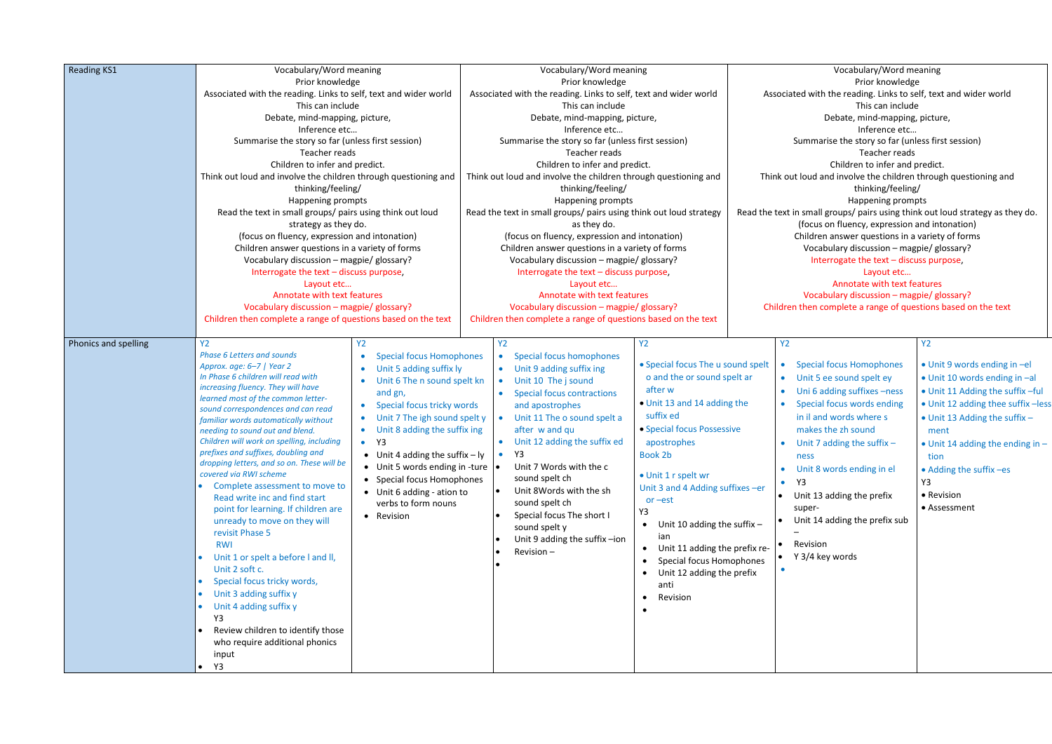| Vocabulary/Word meaning                                                        |
|--------------------------------------------------------------------------------|
| Prior knowledge                                                                |
| Associated with the reading. Links to self, text and wider world               |
| This can include                                                               |
| Debate, mind-mapping, picture,                                                 |
| Inference etc                                                                  |
| Summarise the story so far (unless first session)                              |
| Teacher reads                                                                  |
| Children to infer and predict.                                                 |
| Think out loud and involve the children through questioning and                |
| thinking/feeling/                                                              |
| Happening prompts                                                              |
| Read the text in small groups/ pairs using think out loud strategy as they do. |
| (focus on fluency, expression and intonation)                                  |
| Children answer questions in a variety of forms                                |
| Vocabulary discussion - magpie/ glossary?                                      |
| Interrogate the text - discuss purpose,                                        |
| Layout etc                                                                     |
| Annotate with text features                                                    |
| Vocabulary discussion – magpie/ glossary?                                      |
| Children then complete a range of questions based on the text                  |

| <b>Reading KS1</b>   | Vocabulary/Word meaning                                                        |                                                       | Vocabulary/Word meaning |                                                                    |                                              |                    |                             |  |
|----------------------|--------------------------------------------------------------------------------|-------------------------------------------------------|-------------------------|--------------------------------------------------------------------|----------------------------------------------|--------------------|-----------------------------|--|
|                      | Prior knowledge                                                                |                                                       |                         | Prior knowledge                                                    |                                              |                    |                             |  |
|                      | Associated with the reading. Links to self, text and wider world               |                                                       |                         | Associated with the reading. Links to self, text and wider world   |                                              |                    | Associated                  |  |
|                      | This can include                                                               |                                                       | This can include        |                                                                    |                                              |                    |                             |  |
|                      | Debate, mind-mapping, picture,                                                 |                                                       |                         | Debate, mind-mapping, picture,                                     |                                              |                    |                             |  |
|                      | Inference etc                                                                  |                                                       | Inference etc           |                                                                    |                                              |                    |                             |  |
|                      | Summarise the story so far (unless first session)                              |                                                       |                         | Summarise the story so far (unless first session)                  |                                              |                    | Sur                         |  |
|                      | Teacher reads                                                                  |                                                       |                         | Teacher reads                                                      |                                              |                    |                             |  |
|                      | Children to infer and predict.                                                 |                                                       |                         | Children to infer and predict.                                     |                                              |                    |                             |  |
|                      | Think out loud and involve the children through questioning and                |                                                       |                         | Think out loud and involve the children through questioning and    |                                              |                    | Think out Ic                |  |
|                      | thinking/feeling/                                                              |                                                       |                         | thinking/feeling/                                                  |                                              |                    |                             |  |
|                      | Happening prompts<br>Read the text in small groups/ pairs using think out loud |                                                       |                         | Happening prompts                                                  |                                              |                    |                             |  |
|                      |                                                                                |                                                       |                         | Read the text in small groups/ pairs using think out loud strategy |                                              | Read the text in s |                             |  |
|                      | strategy as they do.                                                           |                                                       |                         | as they do.                                                        |                                              |                    | (t                          |  |
|                      | (focus on fluency, expression and intonation)                                  |                                                       |                         | (focus on fluency, expression and intonation)                      |                                              | Chi                |                             |  |
|                      | Children answer questions in a variety of forms                                |                                                       |                         | Children answer questions in a variety of forms                    |                                              |                    |                             |  |
|                      |                                                                                | Vocabulary discussion - magpie/ glossary?             |                         | Vocabulary discussion - magpie/ glossary?                          |                                              |                    |                             |  |
|                      | Interrogate the text - discuss purpose,                                        |                                                       |                         | Interrogate the text - discuss purpose,                            |                                              |                    |                             |  |
|                      | Layout etc                                                                     |                                                       |                         | Layout etc                                                         |                                              |                    |                             |  |
|                      | Annotate with text features                                                    |                                                       |                         | Annotate with text features                                        |                                              |                    |                             |  |
|                      | Vocabulary discussion - magpie/ glossary?                                      |                                                       |                         | Vocabulary discussion - magpie/ glossary?                          |                                              |                    | Children th                 |  |
|                      | Children then complete a range of questions based on the text                  |                                                       |                         | Children then complete a range of questions based on the text      |                                              |                    |                             |  |
| Phonics and spelling | Y <sub>2</sub>                                                                 | <b>Y2</b>                                             |                         | <b>Y2</b>                                                          | <b>Y2</b>                                    |                    | <b>Y2</b>                   |  |
|                      | <b>Phase 6 Letters and sounds</b>                                              | <b>Special focus Homophones</b>                       |                         | <b>Special focus homophones</b><br>$\bullet$                       |                                              |                    |                             |  |
|                      | Approx. age: 6-7   Year 2                                                      | Unit 5 adding suffix ly                               |                         | Unit 9 adding suffix ing<br>$\bullet$                              | • Special focus The u sound spelt            |                    | <b>Sp</b><br>$\bullet$      |  |
|                      | In Phase 6 children will read with                                             | Unit 6 The n sound spelt kn                           |                         | Unit 10 The j sound<br>$\bullet$                                   | o and the or sound spelt ar                  |                    | <b>Ur</b><br>$\bullet$      |  |
|                      | increasing fluency. They will have                                             | and gn,                                               |                         | <b>Special focus contractions</b><br>$\bullet$                     | after w                                      |                    | Ur<br>$\bullet$             |  |
|                      | learned most of the common letter-                                             | Special focus tricky words<br>$\bullet$               |                         | and apostrophes                                                    | • Unit 13 and 14 adding the                  |                    | - Sp<br>$\bullet$           |  |
|                      | sound correspondences and can read                                             | Unit 7 The igh sound spelt y<br>$\bullet$             |                         | Unit 11 The o sound spelt a<br>$\bullet$                           | suffix ed                                    |                    | in.                         |  |
|                      | familiar words automatically without<br>needing to sound out and blend.        | Unit 8 adding the suffix ing                          |                         | after w and qu                                                     | • Special focus Possessive                   |                    | m                           |  |
|                      | Children will work on spelling, including                                      | Y3<br>$\bullet$                                       |                         | Unit 12 adding the suffix ed<br>$\bullet$                          | apostrophes                                  |                    | Ur                          |  |
|                      | prefixes and suffixes, doubling and                                            |                                                       |                         | Y3<br>$\bullet$                                                    | Book 2b                                      |                    | $\bullet$                   |  |
|                      | dropping letters, and so on. These will be                                     | • Unit 4 adding the suffix $-$ ly                     |                         | Unit 7 Words with the c                                            |                                              |                    | ne                          |  |
|                      | covered via RWI scheme                                                         | Unit 5 words ending in -ture $  \bullet$<br>$\bullet$ |                         | sound spelt ch                                                     | · Unit 1 r spelt wr                          |                    | Ur<br>$\bullet$             |  |
|                      | Complete assessment to move to                                                 | <b>Special focus Homophones</b><br>$\bullet$          |                         | Unit 8Words with the sh                                            | Unit 3 and 4 Adding suffixes -er             |                    | Y3<br>$\bullet$             |  |
|                      | Read write inc and find start                                                  | Unit 6 adding - ation to<br>verbs to form nouns       |                         | sound spelt ch                                                     | $or -est$                                    |                    | Un<br>$\bullet$             |  |
|                      | point for learning. If children are                                            |                                                       |                         | Special focus The short I                                          | Y3                                           |                    | sup                         |  |
|                      | unready to move on they will                                                   | Revision<br>$\bullet$                                 |                         | sound spelt y                                                      | Unit 10 adding the suffix $-$<br>$\bullet$   |                    | Un<br>$\bullet$             |  |
|                      | revisit Phase 5                                                                |                                                       |                         | Unit 9 adding the suffix-ion                                       | ian                                          |                    |                             |  |
|                      | <b>RWI</b>                                                                     |                                                       |                         | Revision-                                                          | Unit 11 adding the prefix re-<br>$\bullet$   |                    | <b>Rev</b>                  |  |
|                      | Unit 1 or spelt a before I and II,                                             |                                                       |                         |                                                                    | <b>Special focus Homophones</b><br>$\bullet$ |                    | Y <sub>3</sub><br>$\bullet$ |  |
|                      | Unit 2 soft c.                                                                 |                                                       |                         |                                                                    | Unit 12 adding the prefix<br>$\bullet$       |                    |                             |  |
|                      | Special focus tricky words,                                                    |                                                       |                         |                                                                    | anti                                         |                    |                             |  |
|                      | Unit 3 adding suffix y                                                         |                                                       |                         |                                                                    | Revision<br>$\bullet$                        |                    |                             |  |
|                      | Unit 4 adding suffix y                                                         |                                                       |                         |                                                                    |                                              |                    |                             |  |
|                      | Y3                                                                             |                                                       |                         |                                                                    |                                              |                    |                             |  |
|                      | Review children to identify those                                              |                                                       |                         |                                                                    |                                              |                    |                             |  |
|                      | who require additional phonics                                                 |                                                       |                         |                                                                    |                                              |                    |                             |  |
|                      | input                                                                          |                                                       |                         |                                                                    |                                              |                    |                             |  |
|                      | Y3                                                                             |                                                       |                         |                                                                    |                                              |                    |                             |  |

| <b>Special focus Homophones</b><br>Unit 5 ee sound spelt ey<br>Uni 6 adding suffixes -ness<br>Special focus words ending<br>in il and words where s<br>makes the zh sound<br>Unit 7 adding the suffix $-$<br>ness<br>Unit 8 words ending in el<br>Y3<br>Unit 13 adding the prefix | • Unit 9 words ending in -el<br>• Unit 10 words ending in -al<br>• Unit 11 Adding the suffix -ful<br>• Unit 12 adding thee suffix - less<br>• Unit 13 Adding the suffix -<br>ment<br>$\bullet$ Unit 14 adding the ending in $-$<br>tion<br>• Adding the suffix -es<br>Y3<br>• Revision |
|-----------------------------------------------------------------------------------------------------------------------------------------------------------------------------------------------------------------------------------------------------------------------------------|----------------------------------------------------------------------------------------------------------------------------------------------------------------------------------------------------------------------------------------------------------------------------------------|
| super-<br>Unit 14 adding the prefix sub                                                                                                                                                                                                                                           | • Assessment                                                                                                                                                                                                                                                                           |
| Revision<br>٠                                                                                                                                                                                                                                                                     |                                                                                                                                                                                                                                                                                        |
| Y 3/4 key words                                                                                                                                                                                                                                                                   |                                                                                                                                                                                                                                                                                        |
|                                                                                                                                                                                                                                                                                   |                                                                                                                                                                                                                                                                                        |

## Y2